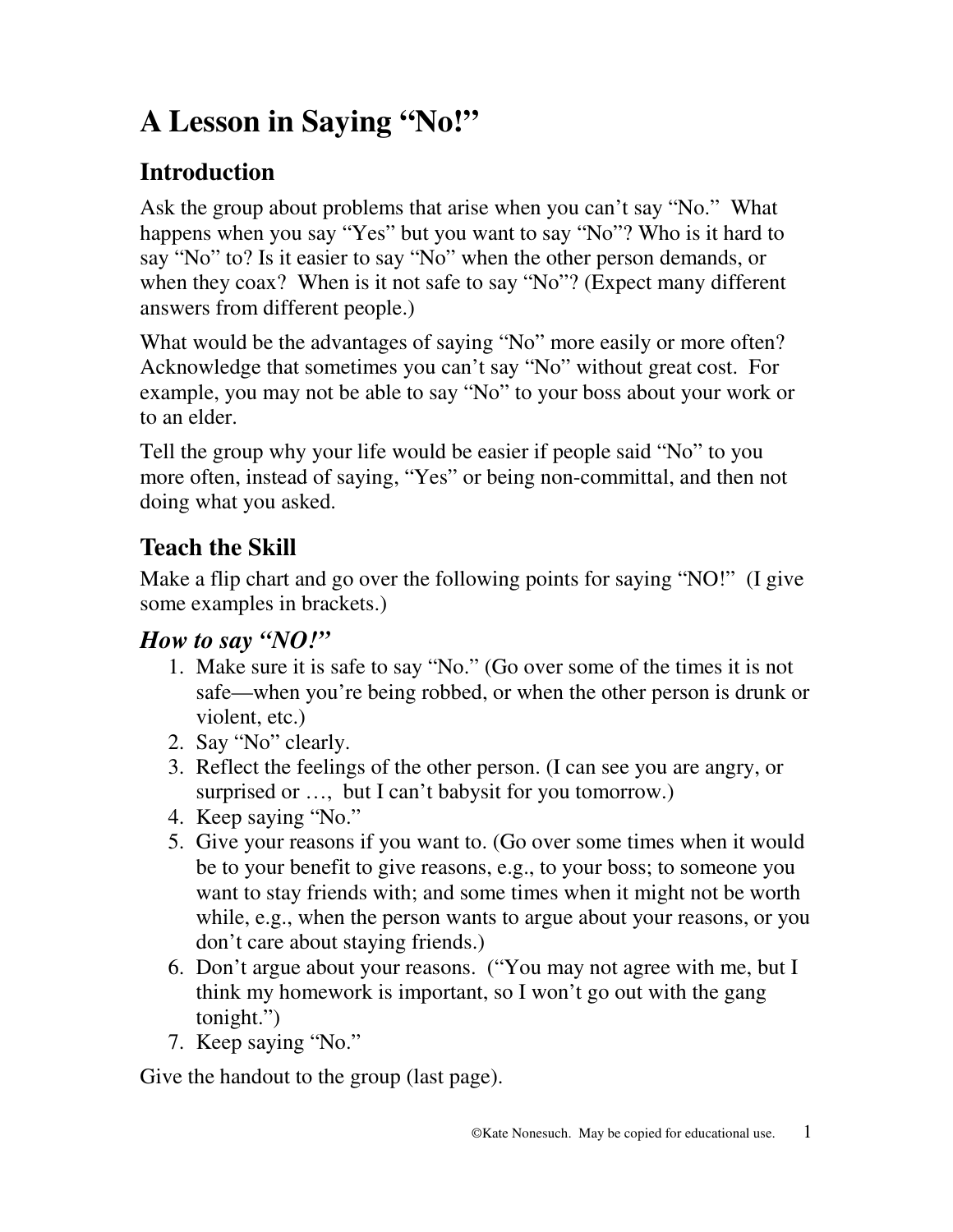# **A Lesson in Saying "No!"**

## **Introduction**

Ask the group about problems that arise when you can't say "No." What happens when you say "Yes" but you want to say "No"? Who is it hard to say "No" to? Is it easier to say "No" when the other person demands, or when they coax? When is it not safe to say "No"? (Expect many different answers from different people.)

What would be the advantages of saying "No" more easily or more often? Acknowledge that sometimes you can't say "No" without great cost. For example, you may not be able to say "No" to your boss about your work or to an elder.

Tell the group why your life would be easier if people said "No" to you more often, instead of saying, "Yes" or being non-committal, and then not doing what you asked.

## **Teach the Skill**

Make a flip chart and go over the following points for saying "NO!" (I give some examples in brackets.)

## *How to say "NO!"*

- 1. Make sure it is safe to say "No." (Go over some of the times it is not safe—when you're being robbed, or when the other person is drunk or violent, etc.)
- 2. Say "No" clearly.
- 3. Reflect the feelings of the other person. (I can see you are angry, or surprised or ..., but I can't babysit for you tomorrow.)
- 4. Keep saying "No."
- 5. Give your reasons if you want to. (Go over some times when it would be to your benefit to give reasons, e.g., to your boss; to someone you want to stay friends with; and some times when it might not be worth while, e.g., when the person wants to argue about your reasons, or you don't care about staying friends.)
- 6. Don't argue about your reasons. ("You may not agree with me, but I think my homework is important, so I won't go out with the gang tonight.")
- 7. Keep saying "No."

Give the handout to the group (last page).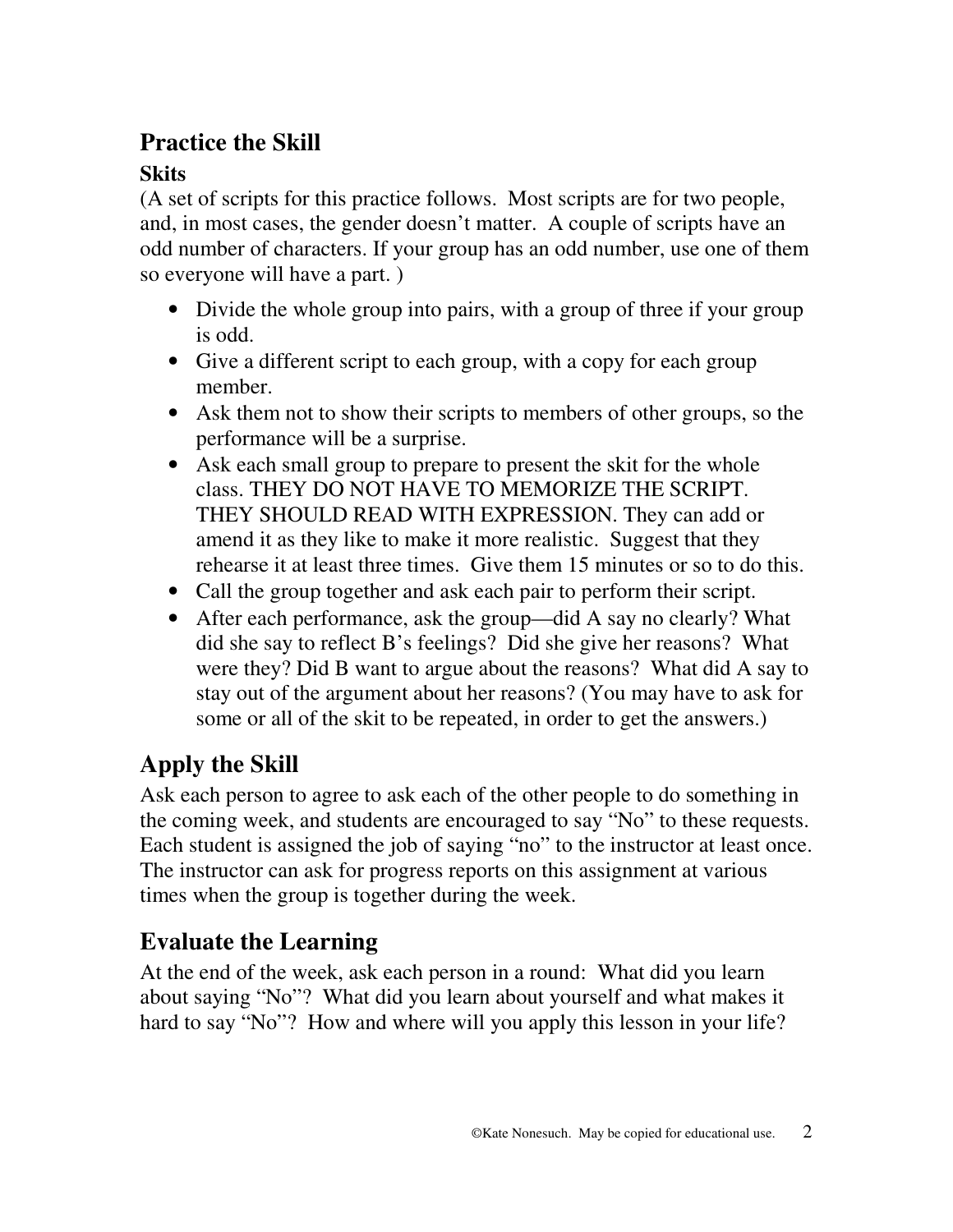## **Practice the Skill**

## **Skits**

(A set of scripts for this practice follows. Most scripts are for two people, and, in most cases, the gender doesn't matter. A couple of scripts have an odd number of characters. If your group has an odd number, use one of them so everyone will have a part. )

- Divide the whole group into pairs, with a group of three if your group is odd.
- Give a different script to each group, with a copy for each group member.
- Ask them not to show their scripts to members of other groups, so the performance will be a surprise.
- Ask each small group to prepare to present the skit for the whole class. THEY DO NOT HAVE TO MEMORIZE THE SCRIPT. THEY SHOULD READ WITH EXPRESSION. They can add or amend it as they like to make it more realistic. Suggest that they rehearse it at least three times. Give them 15 minutes or so to do this.
- Call the group together and ask each pair to perform their script.
- After each performance, ask the group—did A say no clearly? What did she say to reflect B's feelings? Did she give her reasons? What were they? Did B want to argue about the reasons? What did A say to stay out of the argument about her reasons? (You may have to ask for some or all of the skit to be repeated, in order to get the answers.)

## **Apply the Skill**

Ask each person to agree to ask each of the other people to do something in the coming week, and students are encouraged to say "No" to these requests. Each student is assigned the job of saying "no" to the instructor at least once. The instructor can ask for progress reports on this assignment at various times when the group is together during the week.

## **Evaluate the Learning**

At the end of the week, ask each person in a round: What did you learn about saying "No"? What did you learn about yourself and what makes it hard to say "No"? How and where will you apply this lesson in your life?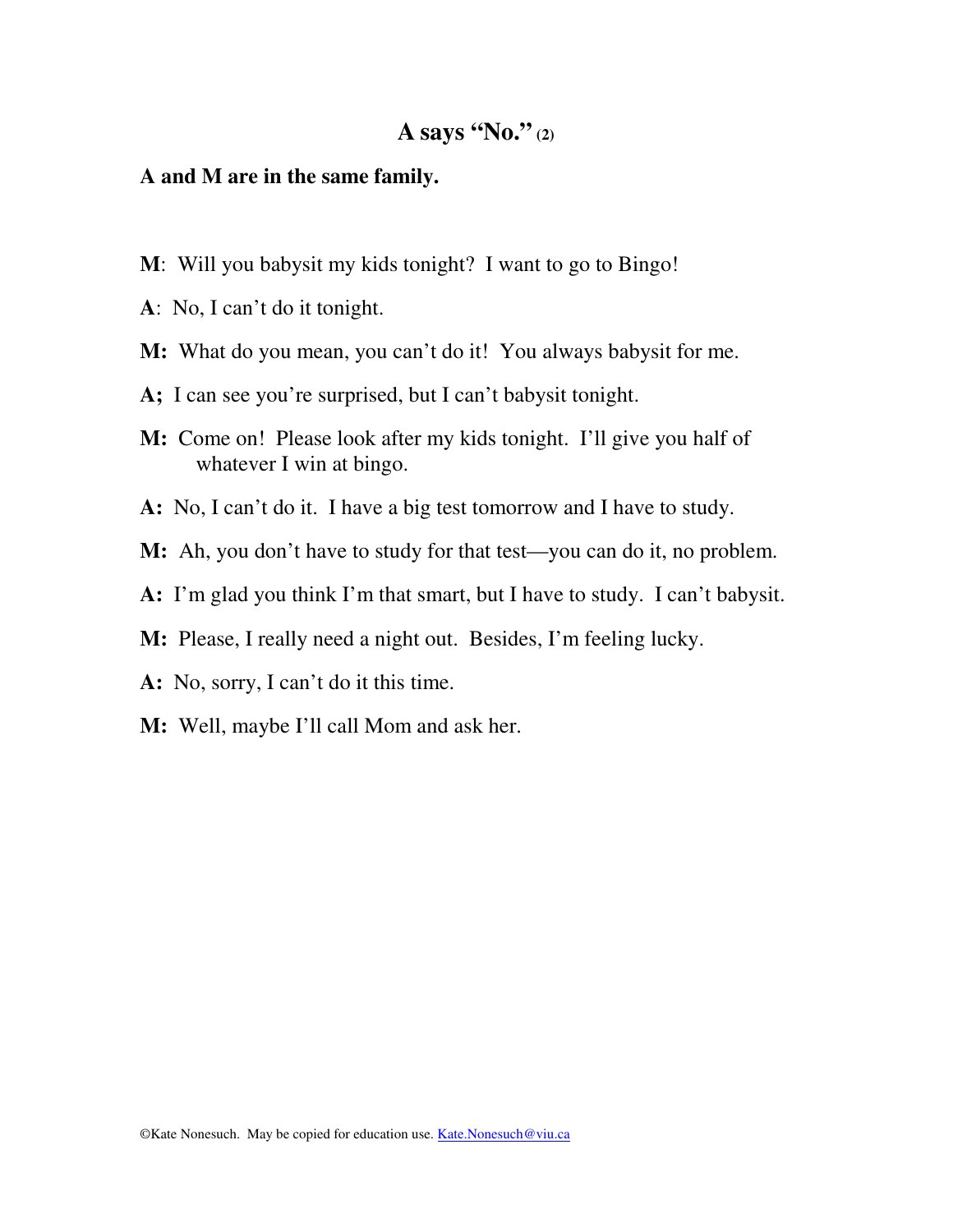#### **A and M are in the same family.**

- **M**: Will you babysit my kids tonight? I want to go to Bingo!
- **A**: No, I can't do it tonight.
- **M:** What do you mean, you can't do it! You always babysit for me.
- **A;** I can see you're surprised, but I can't babysit tonight.
- **M:** Come on! Please look after my kids tonight. I'll give you half of whatever I win at bingo.
- **A:** No, I can't do it. I have a big test tomorrow and I have to study.
- **M:** Ah, you don't have to study for that test—you can do it, no problem.
- **A:** I'm glad you think I'm that smart, but I have to study. I can't babysit.
- **M:** Please, I really need a night out. Besides, I'm feeling lucky.
- **A:** No, sorry, I can't do it this time.
- **M:** Well, maybe I'll call Mom and ask her.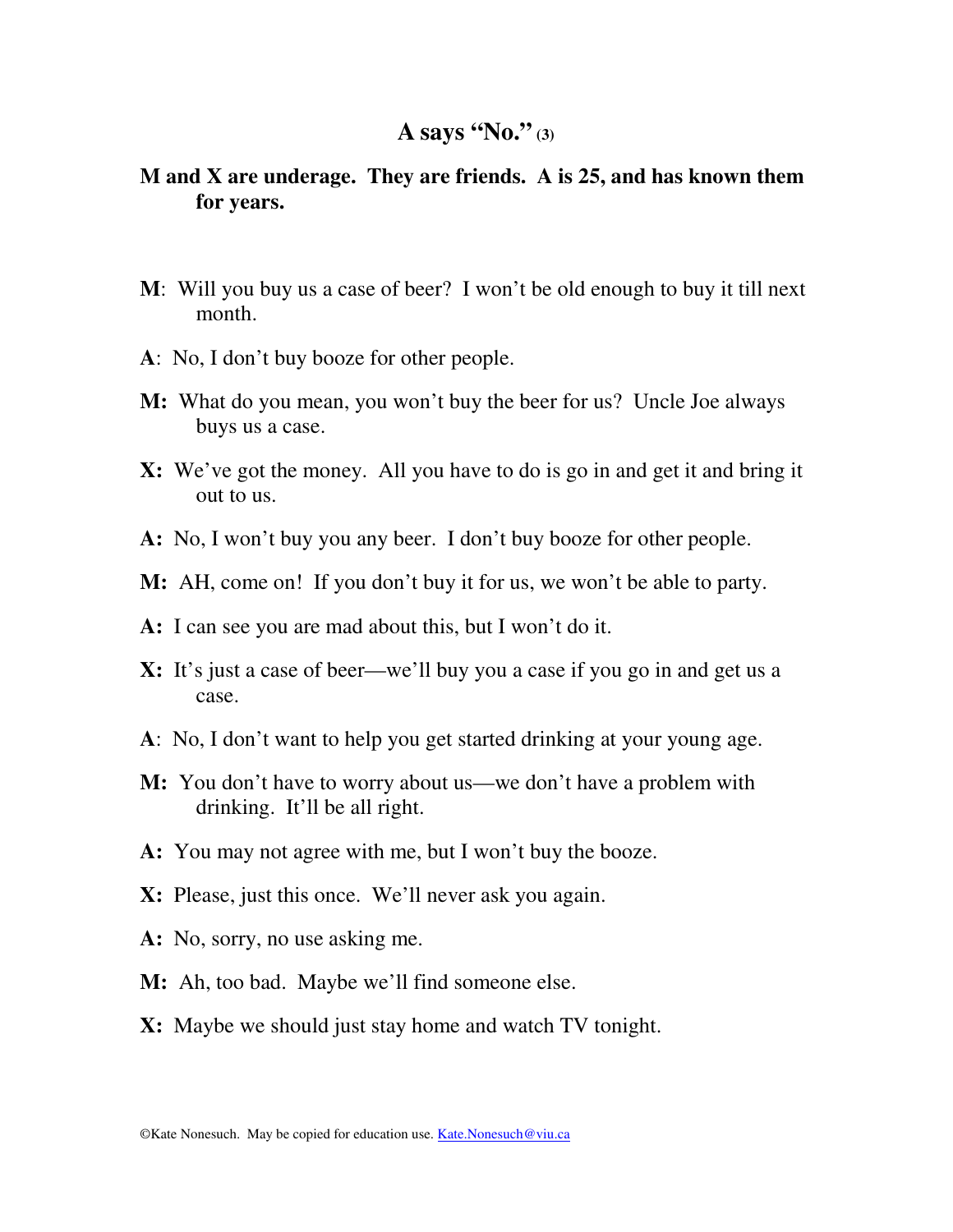### **M and X are underage. They are friends. A is 25, and has known them for years.**

- **M**: Will you buy us a case of beer? I won't be old enough to buy it till next month.
- **A**: No, I don't buy booze for other people.
- **M:** What do you mean, you won't buy the beer for us? Uncle Joe always buys us a case.
- **X:** We've got the money. All you have to do is go in and get it and bring it out to us.
- **A:** No, I won't buy you any beer. I don't buy booze for other people.
- **M:** AH, come on! If you don't buy it for us, we won't be able to party.
- **A:** I can see you are mad about this, but I won't do it.
- **X:** It's just a case of beer—we'll buy you a case if you go in and get us a case.
- **A**: No, I don't want to help you get started drinking at your young age.
- **M:** You don't have to worry about us—we don't have a problem with drinking. It'll be all right.
- **A:** You may not agree with me, but I won't buy the booze.
- **X:** Please, just this once. We'll never ask you again.
- **A:** No, sorry, no use asking me.
- **M:** Ah, too bad. Maybe we'll find someone else.
- **X:** Maybe we should just stay home and watch TV tonight.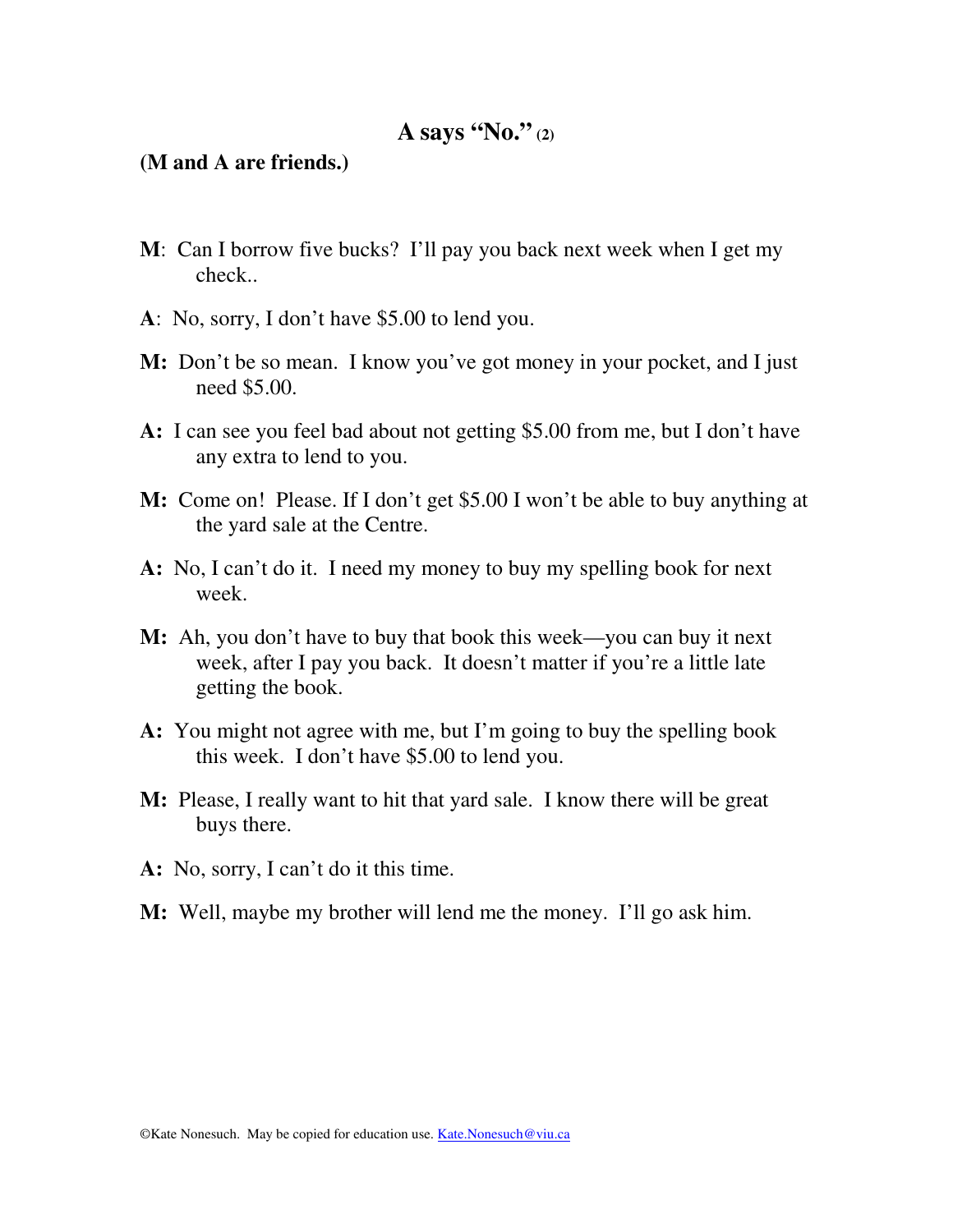#### **(M and A are friends.)**

- **M**: Can I borrow five bucks? I'll pay you back next week when I get my check..
- **A**: No, sorry, I don't have \$5.00 to lend you.
- **M:** Don't be so mean. I know you've got money in your pocket, and I just need \$5.00.
- **A:** I can see you feel bad about not getting \$5.00 from me, but I don't have any extra to lend to you.
- **M:** Come on! Please. If I don't get \$5.00 I won't be able to buy anything at the yard sale at the Centre.
- **A:** No, I can't do it. I need my money to buy my spelling book for next week.
- **M:** Ah, you don't have to buy that book this week—you can buy it next week, after I pay you back. It doesn't matter if you're a little late getting the book.
- **A:** You might not agree with me, but I'm going to buy the spelling book this week. I don't have \$5.00 to lend you.
- **M:** Please, I really want to hit that yard sale. I know there will be great buys there.
- **A:** No, sorry, I can't do it this time.
- **M:** Well, maybe my brother will lend me the money. I'll go ask him.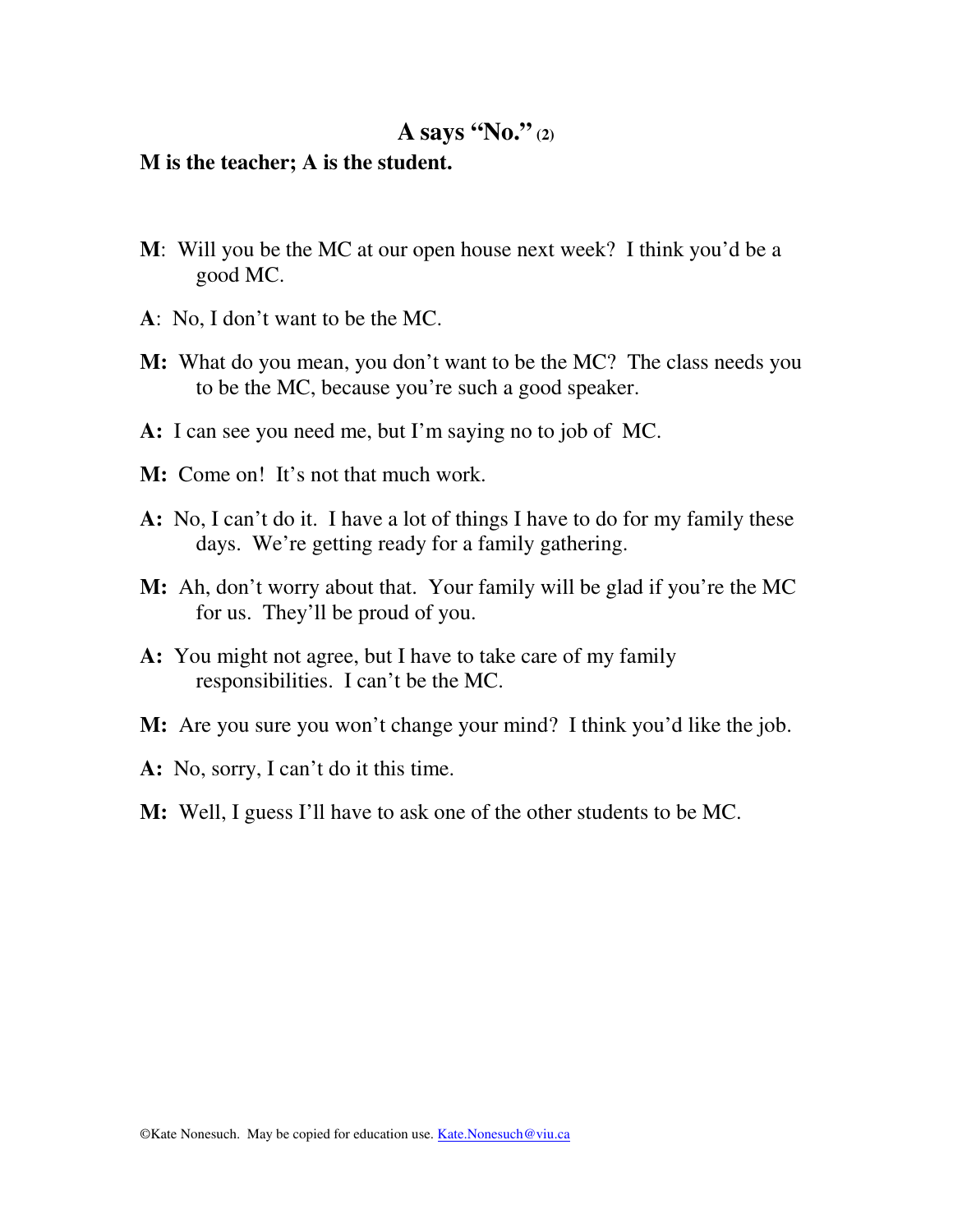#### **M is the teacher; A is the student.**

- **M**: Will you be the MC at our open house next week? I think you'd be a good MC.
- **A**: No, I don't want to be the MC.
- **M:** What do you mean, you don't want to be the MC? The class needs you to be the MC, because you're such a good speaker.
- **A:** I can see you need me, but I'm saying no to job of MC.
- **M:** Come on! It's not that much work.
- **A:** No, I can't do it. I have a lot of things I have to do for my family these days. We're getting ready for a family gathering.
- **M:** Ah, don't worry about that. Your family will be glad if you're the MC for us. They'll be proud of you.
- **A:** You might not agree, but I have to take care of my family responsibilities. I can't be the MC.
- **M:** Are you sure you won't change your mind? I think you'd like the job.
- **A:** No, sorry, I can't do it this time.
- **M:** Well, I guess I'll have to ask one of the other students to be MC.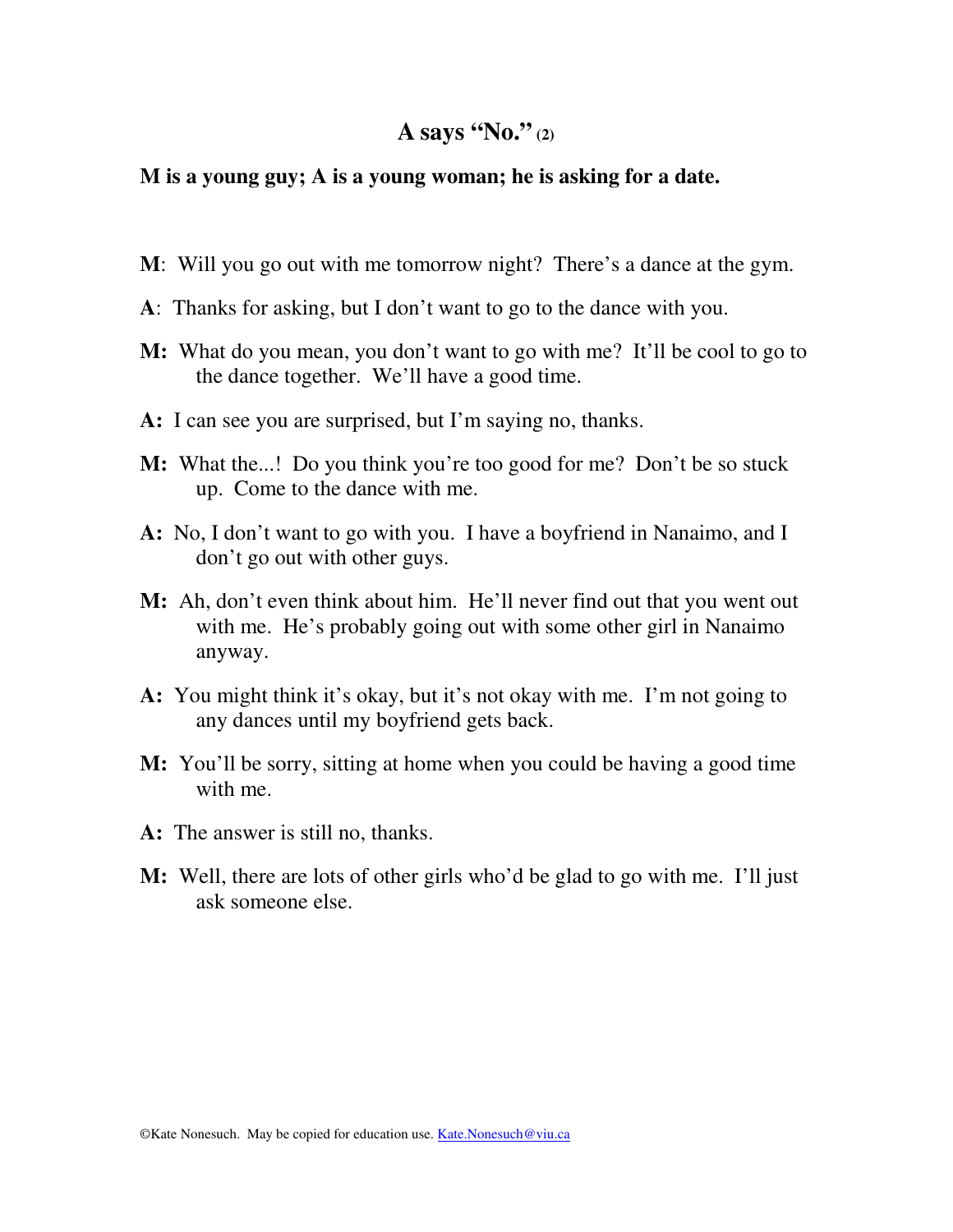### **M is a young guy; A is a young woman; he is asking for a date.**

- **M**: Will you go out with me tomorrow night? There's a dance at the gym.
- **A**: Thanks for asking, but I don't want to go to the dance with you.
- **M:** What do you mean, you don't want to go with me? It'll be cool to go to the dance together. We'll have a good time.
- **A:** I can see you are surprised, but I'm saying no, thanks.
- **M:** What the...! Do you think you're too good for me? Don't be so stuck up. Come to the dance with me.
- **A:** No, I don't want to go with you. I have a boyfriend in Nanaimo, and I don't go out with other guys.
- **M:** Ah, don't even think about him. He'll never find out that you went out with me. He's probably going out with some other girl in Nanaimo anyway.
- **A:** You might think it's okay, but it's not okay with me. I'm not going to any dances until my boyfriend gets back.
- **M:** You'll be sorry, sitting at home when you could be having a good time with me.
- **A:** The answer is still no, thanks.
- **M:** Well, there are lots of other girls who'd be glad to go with me. I'll just ask someone else.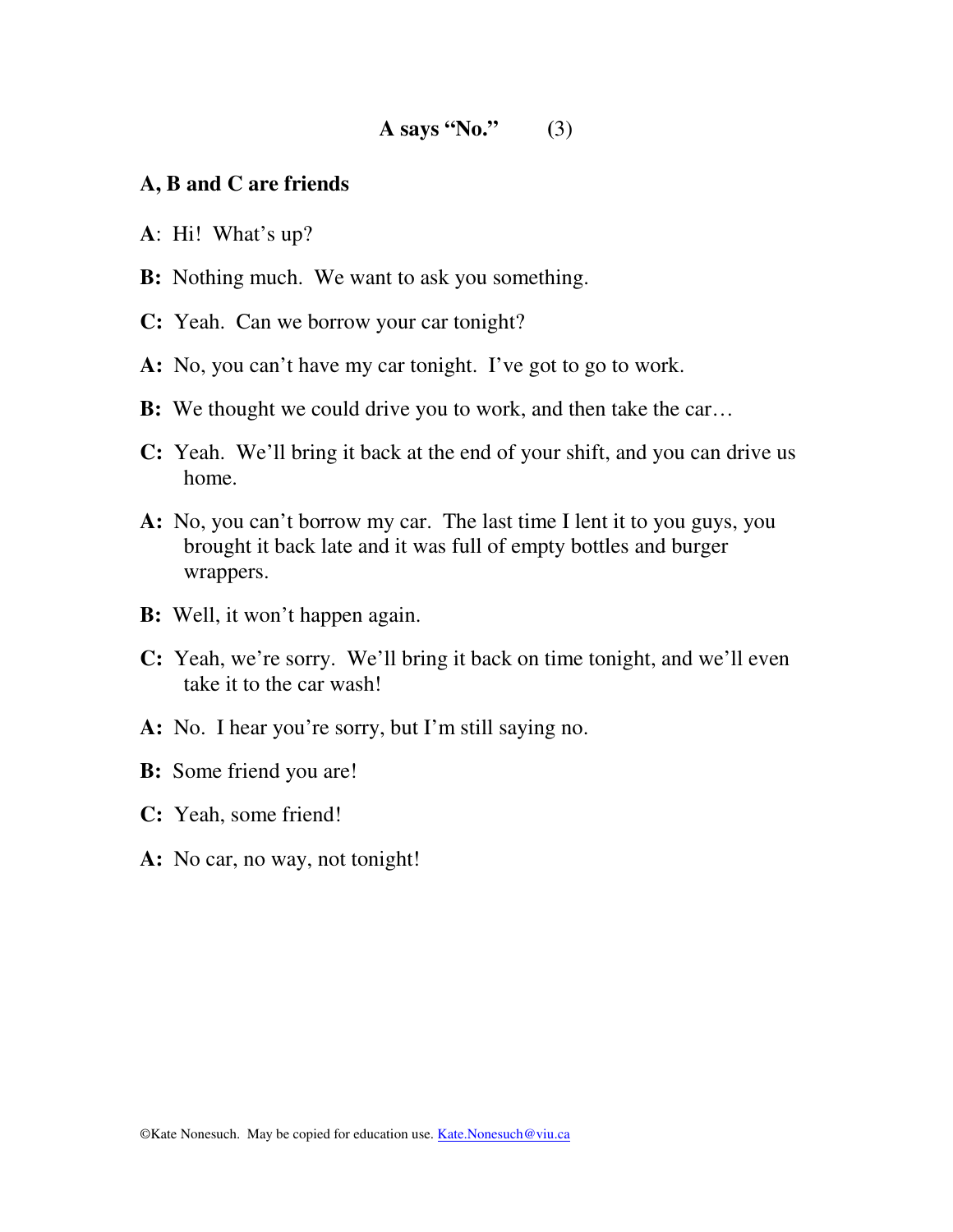### **A, B and C are friends**

- **A**: Hi! What's up?
- **B:** Nothing much. We want to ask you something.
- **C:** Yeah. Can we borrow your car tonight?
- **A:** No, you can't have my car tonight. I've got to go to work.
- **B:** We thought we could drive you to work, and then take the car…
- **C:** Yeah. We'll bring it back at the end of your shift, and you can drive us home.
- **A:** No, you can't borrow my car. The last time I lent it to you guys, you brought it back late and it was full of empty bottles and burger wrappers.
- **B:** Well, it won't happen again.
- **C:** Yeah, we're sorry. We'll bring it back on time tonight, and we'll even take it to the car wash!
- **A:** No. I hear you're sorry, but I'm still saying no.
- **B:** Some friend you are!
- **C:** Yeah, some friend!
- **A:** No car, no way, not tonight!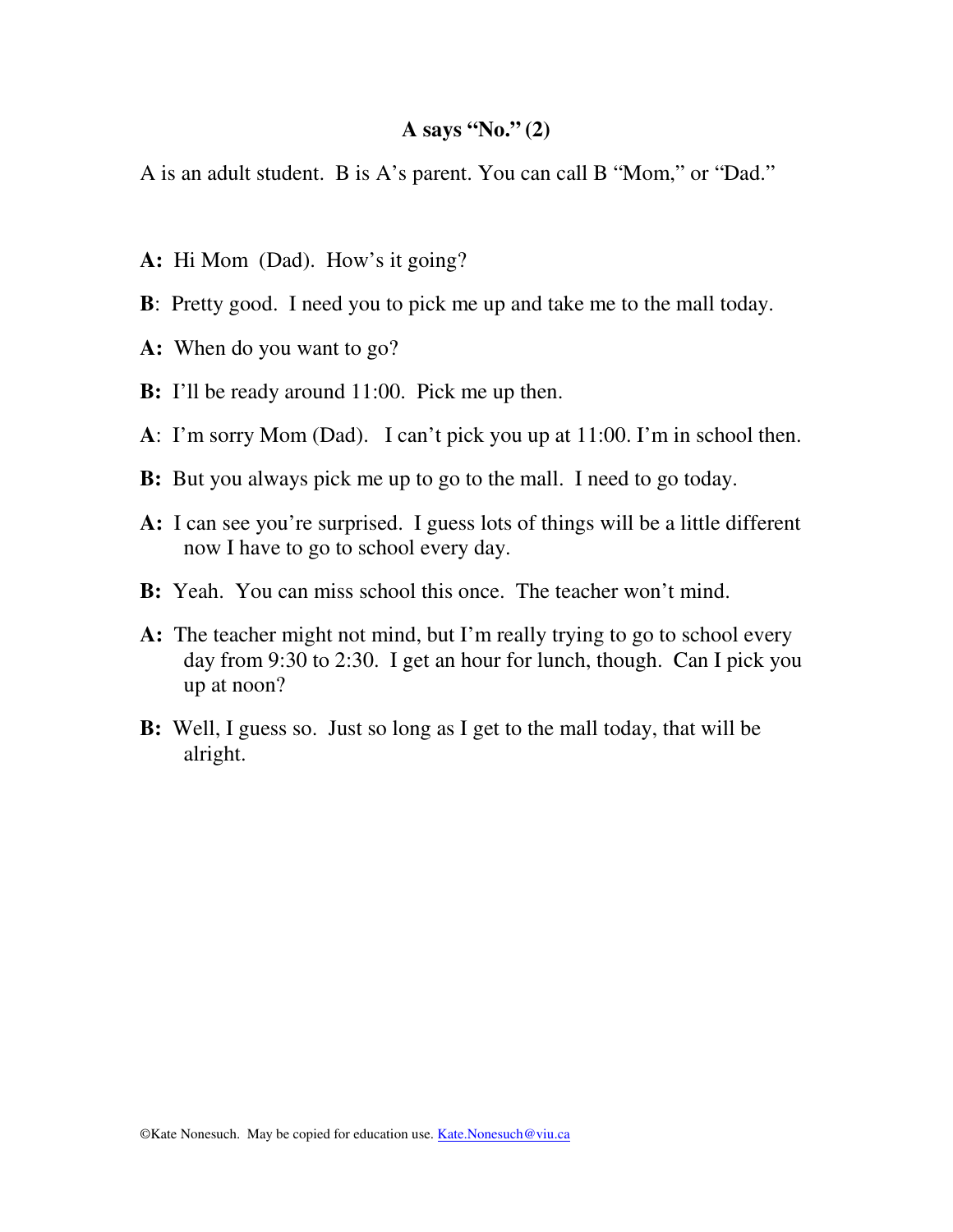A is an adult student. B is A's parent. You can call B "Mom," or "Dad."

- **A:** Hi Mom (Dad). How's it going?
- **B**: Pretty good. I need you to pick me up and take me to the mall today.
- **A:** When do you want to go?
- **B:** I'll be ready around 11:00. Pick me up then.
- **A**: I'm sorry Mom (Dad). I can't pick you up at 11:00. I'm in school then.
- **B:** But you always pick me up to go to the mall. I need to go today.
- **A:** I can see you're surprised. I guess lots of things will be a little different now I have to go to school every day.
- **B:** Yeah. You can miss school this once. The teacher won't mind.
- **A:** The teacher might not mind, but I'm really trying to go to school every day from 9:30 to 2:30. I get an hour for lunch, though. Can I pick you up at noon?
- **B:** Well, I guess so. Just so long as I get to the mall today, that will be alright.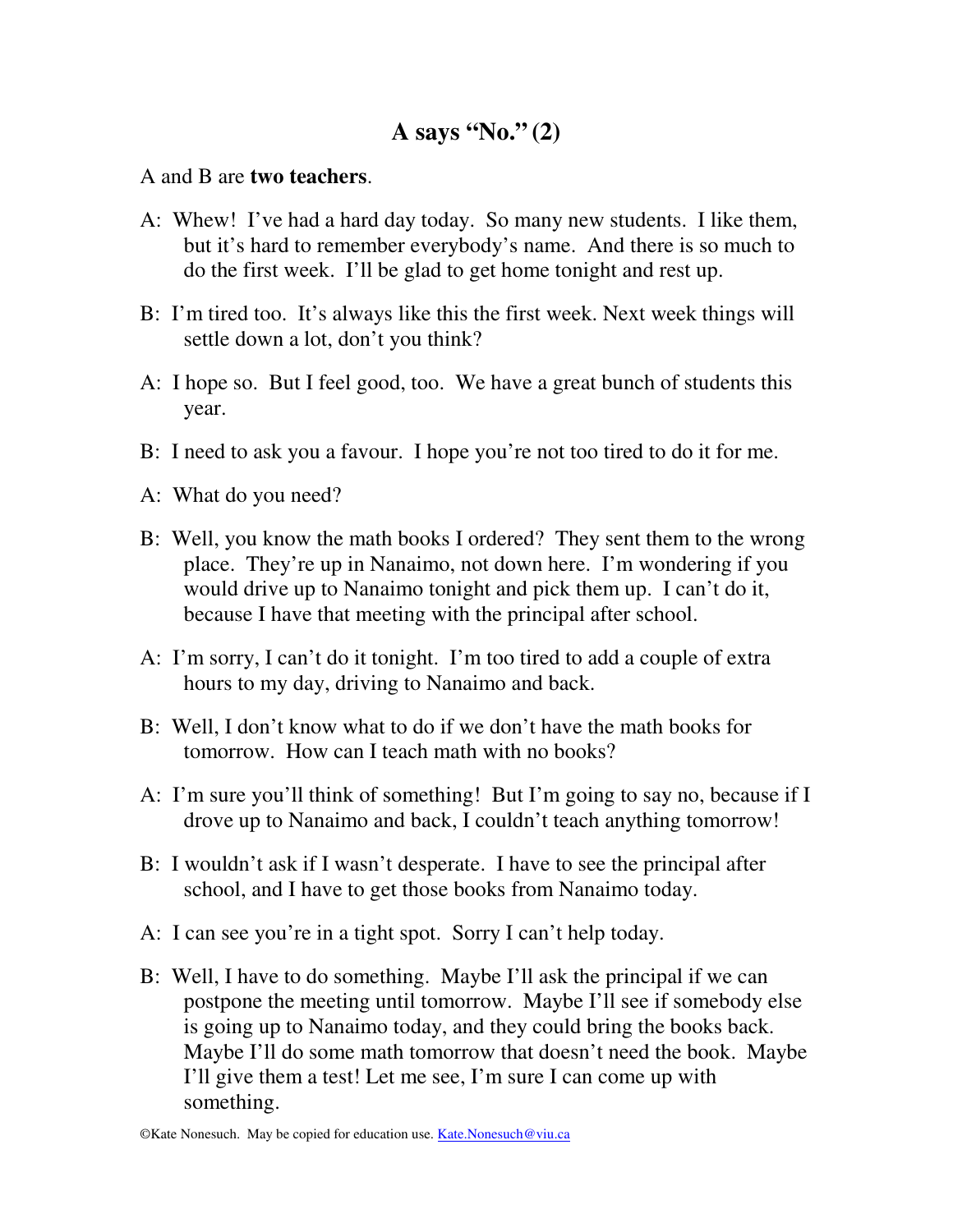### A and B are **two teachers**.

- A: Whew! I've had a hard day today. So many new students. I like them, but it's hard to remember everybody's name. And there is so much to do the first week. I'll be glad to get home tonight and rest up.
- B: I'm tired too. It's always like this the first week. Next week things will settle down a lot, don't you think?
- A: I hope so. But I feel good, too. We have a great bunch of students this year.
- B: I need to ask you a favour. I hope you're not too tired to do it for me.
- A: What do you need?
- B: Well, you know the math books I ordered? They sent them to the wrong place. They're up in Nanaimo, not down here. I'm wondering if you would drive up to Nanaimo tonight and pick them up. I can't do it, because I have that meeting with the principal after school.
- A: I'm sorry, I can't do it tonight. I'm too tired to add a couple of extra hours to my day, driving to Nanaimo and back.
- B: Well, I don't know what to do if we don't have the math books for tomorrow. How can I teach math with no books?
- A: I'm sure you'll think of something! But I'm going to say no, because if I drove up to Nanaimo and back, I couldn't teach anything tomorrow!
- B: I wouldn't ask if I wasn't desperate. I have to see the principal after school, and I have to get those books from Nanaimo today.
- A: I can see you're in a tight spot. Sorry I can't help today.
- B: Well, I have to do something. Maybe I'll ask the principal if we can postpone the meeting until tomorrow. Maybe I'll see if somebody else is going up to Nanaimo today, and they could bring the books back. Maybe I'll do some math tomorrow that doesn't need the book. Maybe I'll give them a test! Let me see, I'm sure I can come up with something.